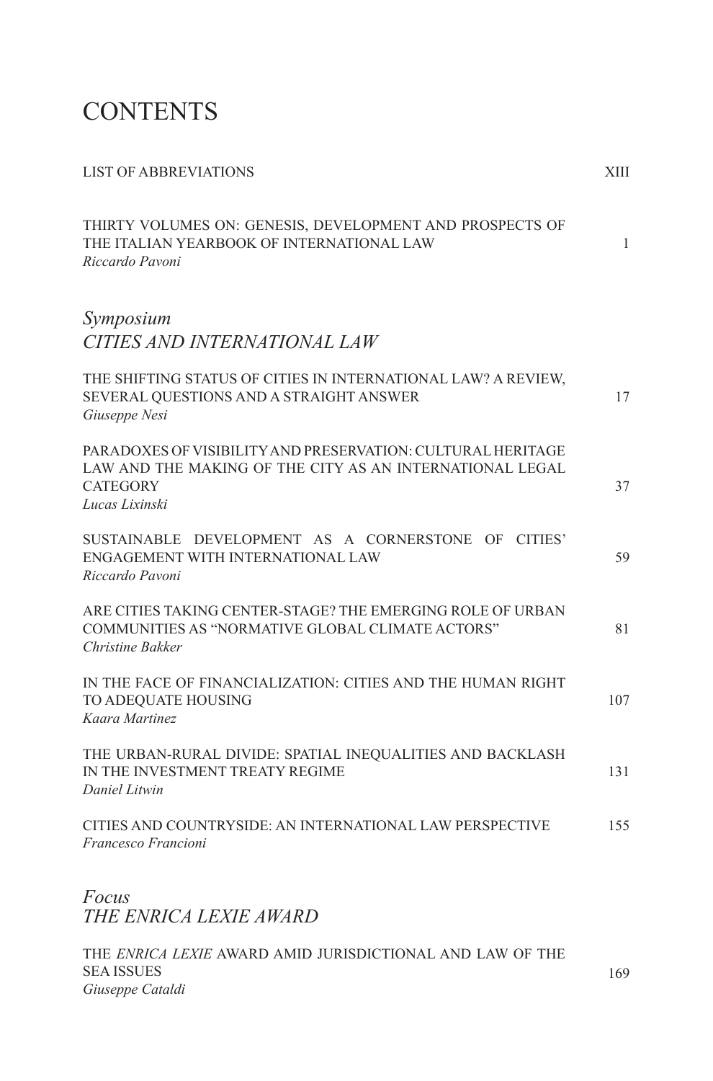# **CONTENTS**

| <b>LIST OF ABBREVIATIONS</b>                                                                                                                                        | XIII |
|---------------------------------------------------------------------------------------------------------------------------------------------------------------------|------|
| THIRTY VOLUMES ON: GENESIS, DEVELOPMENT AND PROSPECTS OF<br>THE ITALIAN YEARBOOK OF INTERNATIONAL LAW<br>Riccardo Pavoni                                            | 1    |
| Symposium<br>CITIES AND INTERNATIONAL LAW                                                                                                                           |      |
| THE SHIFTING STATUS OF CITIES IN INTERNATIONAL LAW? A REVIEW,<br>SEVERAL QUESTIONS AND A STRAIGHT ANSWER<br>Giuseppe Nesi                                           | 17   |
| <b>PARADOXES OF VISIBILITY AND PRESERVATION: CULTURAL HERITAGE</b><br>LAW AND THE MAKING OF THE CITY AS AN INTERNATIONAL LEGAL<br><b>CATEGORY</b><br>Lucas Lixinski | 37   |
| SUSTAINABLE DEVELOPMENT AS A CORNERSTONE OF CITIES'<br>ENGAGEMENT WITH INTERNATIONAL LAW<br>Riccardo Pavoni                                                         | 59   |
| ARE CITIES TAKING CENTER-STAGE? THE EMERGING ROLE OF URBAN<br>COMMUNITIES AS "NORMATIVE GLOBAL CLIMATE ACTORS"<br>Christine Bakker                                  | 81   |
| IN THE FACE OF FINANCIALIZATION: CITIES AND THE HUMAN RIGHT<br>TO ADEQUATE HOUSING<br>Kaara Martinez                                                                | 107  |
| THE URBAN-RURAL DIVIDE: SPATIAL INEQUALITIES AND BACKLASH<br>IN THE INVESTMENT TREATY REGIME<br>Daniel Litwin                                                       | 131  |
| CITIES AND COUNTRYSIDE: AN INTERNATIONAL LAW PERSPECTIVE<br>Francesco Francioni                                                                                     | 155  |
| Focus<br>THE ENRICA LEXIE AWARD                                                                                                                                     |      |

THE *ENRICA LEXIE* AWARD AMID JURISDICTIONAL AND LAW OF THE SEA ISSUES *Giuseppe Cataldi* 169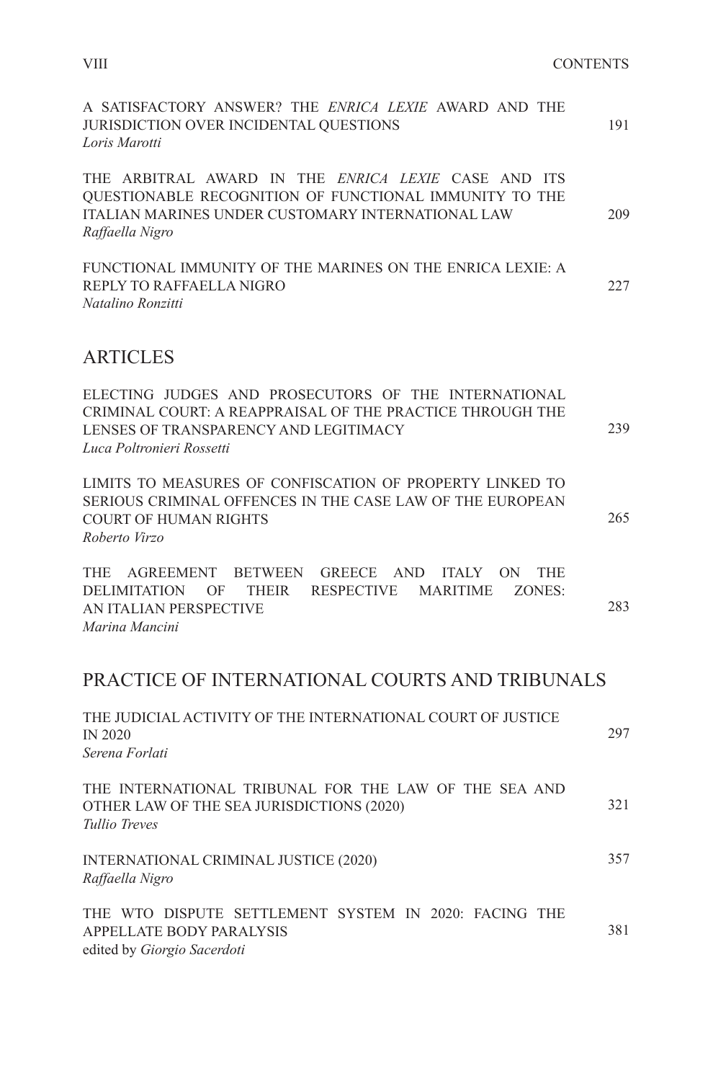| A SATISFACTORY ANSWER? THE ENRICA LEXIE AWARD AND THE<br>JURISDICTION OVER INCIDENTAL QUESTIONS<br>Loris Marotti                                                                             | 191 |
|----------------------------------------------------------------------------------------------------------------------------------------------------------------------------------------------|-----|
| THE ARBITRAL AWARD IN THE ENRICA LEXIE CASE AND ITS<br>QUESTIONABLE RECOGNITION OF FUNCTIONAL IMMUNITY TO THE<br><b>ITALIAN MARINES UNDER CUSTOMARY INTERNATIONAL LAW</b><br>Raffaella Nigro | 209 |
| FUNCTIONAL IMMUNITY OF THE MARINES ON THE ENRICA LEXIE: A<br>REPLY TO RAFFAELLA NIGRO<br>Natalino Ronzitti                                                                                   | 227 |
| <b>ARTICLES</b>                                                                                                                                                                              |     |
| ELECTING JUDGES AND PROSECUTORS OF THE INTERNATIONAL<br>CRIMINAL COURT: A REAPPRAISAL OF THE PRACTICE THROUGH THE<br>LENSES OF TRANSPARENCY AND LEGITIMACY<br>Luca Poltronieri Rossetti      | 239 |
| LIMITS TO MEASURES OF CONFISCATION OF PROPERTY LINKED TO<br>SERIOUS CRIMINAL OFFENCES IN THE CASE LAW OF THE EUROPEAN<br><b>COURT OF HUMAN RIGHTS</b><br>Roberto Virzo                       | 265 |
| THE AGREEMENT BETWEEN<br>GREECE AND ITALY ON<br><b>THE</b><br><b>DELIMITATION</b><br><b>THEIR</b><br>RESPECTIVE MARITIME<br>ZONES:<br>OF<br>AN ITALIAN PERSPECTIVE<br>Marina Mancini         | 283 |
| PRACTICE OF INTERNATIONAL COURTS AND TRIBUNALS                                                                                                                                               |     |
| THE JUDICIAL ACTIVITY OF THE INTERNATIONAL COURT OF JUSTICE<br><b>IN 2020</b><br>Serena Forlati                                                                                              | 297 |
| THE INTERNATIONAL TRIBUNAL FOR THE LAW OF THE SEA AND<br>OTHER LAW OF THE SEA JURISDICTIONS (2020)<br>Tullio Treves                                                                          | 321 |
| INTERNATIONAL CRIMINAL JUSTICE (2020)<br>Raffaella Nigro                                                                                                                                     | 357 |
| THE WTO DISPUTE SETTLEMENT SYSTEM IN 2020: FACING THE<br>APPELLATE BODY PARALYSIS<br>edited by Giorgio Sacerdoti                                                                             | 381 |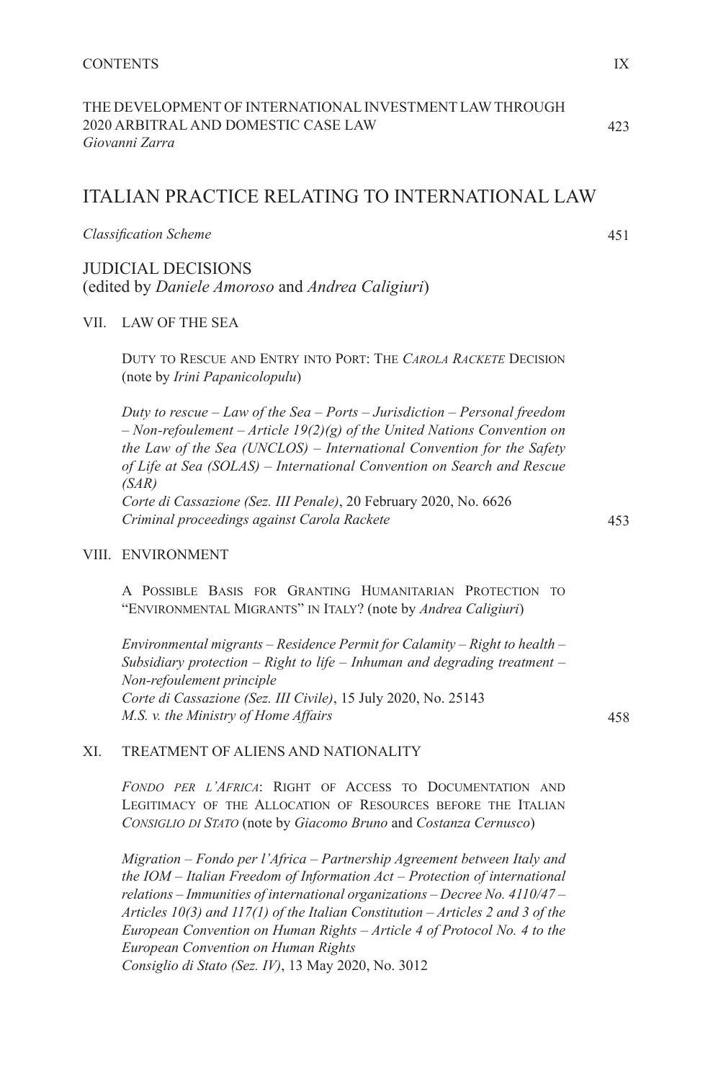| THE DEVELOPMENT OF INTERNATIONAL INVESTMENT LAW THROUGH |
|---------------------------------------------------------|
| 2020 ARBITRAL AND DOMESTIC CASE LAW                     |
| Giovanni Zarra                                          |

## ITALIAN PRACTICE RELATING TO INTERNATIONAL LAW

*Classifi cation Scheme*

JUDICIAL DECISIONS (edited by *Daniele Amoroso* and *Andrea Caligiuri*)

## VII. LAW OF THE SEA

DUTY TO RESCUE AND ENTRY INTO PORT: THE *CAROLA RACKETE* DECISION (note by *Irini Papanicolopulu*)

*Duty to rescue – Law of the Sea – Ports – Jurisdiction – Personal freedom – Non-refoulement – Article 19(2)(g) of the United Nations Convention on the Law of the Sea (UNCLOS) – International Convention for the Safety of Life at Sea (SOLAS) – International Convention on Search and Rescue (SAR) Corte di Cassazione (Sez. III Penale)*, 20 February 2020, No. 6626 *Criminal proceedings against Carola Rackete*

## VIII. ENVIRONMENT

A POSSIBLE BASIS FOR GRANTING HUMANITARIAN PROTECTION TO "ENVIRONMENTAL MIGRANTS" IN ITALY? (note by *Andrea Caligiuri*)

*Environmental migrants – Residence Permit for Calamity – Right to health – Subsidiary protection – Right to life – Inhuman and degrading treatment – Non-refoulement principle Corte di Cassazione (Sez. III Civile)*, 15 July 2020, No. 25143 *M.S. v. the Ministry of Home Affairs*

458

453

## XI. TREATMENT OF ALIENS AND NATIONALITY

*FONDO PER L'AFRICA*: RIGHT OF ACCESS TO DOCUMENTATION AND LEGITIMACY OF THE ALLOCATION OF RESOURCES BEFORE THE ITALIAN *CONSIGLIO DI STATO* (note by *Giacomo Bruno* and *Costanza Cernusco*)

*Migration – Fondo per l'Africa – Partnership Agreement between Italy and the IOM – Italian Freedom of Information Act – Protection of international relations – Immunities of international organizations – Decree No. 4110/47 – Articles 10(3) and 117(1) of the Italian Constitution – Articles 2 and 3 of the European Convention on Human Rights – Article 4 of Protocol No. 4 to the European Convention on Human Rights Consiglio di Stato (Sez. IV)*, 13 May 2020, No. 3012

423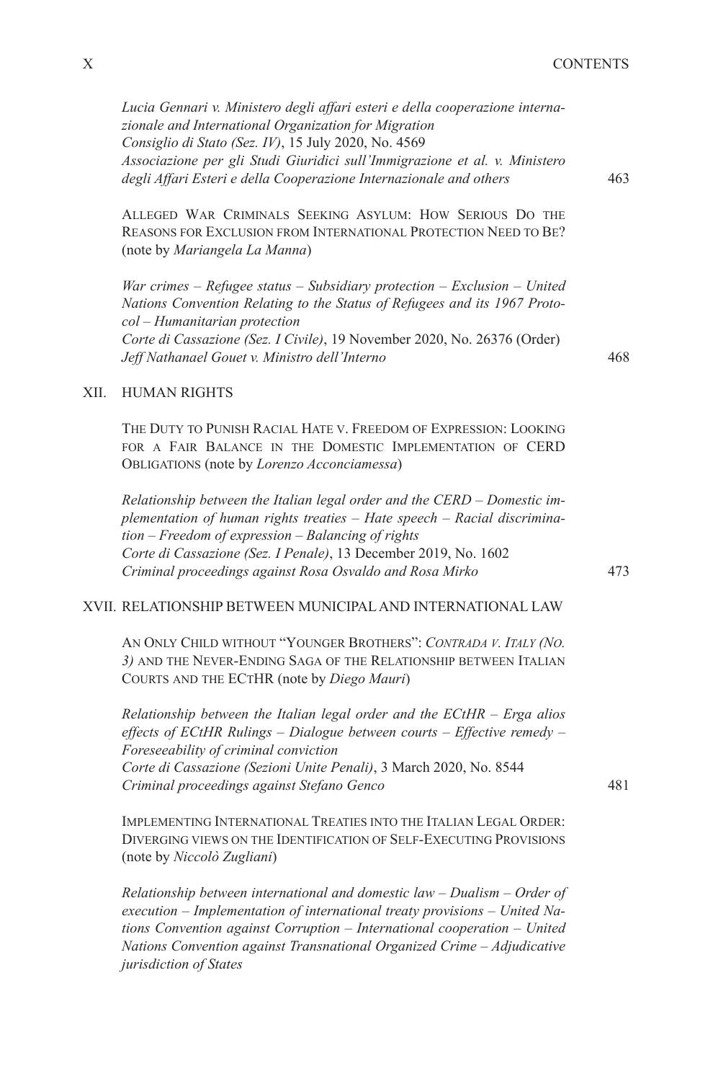*Lucia Gennari v. Ministero degli affari esteri e della cooperazione internazionale and International Organization for Migration Consiglio di Stato (Sez. IV)*, 15 July 2020, No. 4569 *Associazione per gli Studi Giuridici sull'Immigrazione et al. v. Ministero degli Affari Esteri e della Cooperazione Internazionale and others*

ALLEGED WAR CRIMINALS SEEKING ASYLUM: HOW SERIOUS DO THE REASONS FOR EXCLUSION FROM INTERNATIONAL PROTECTION NEED TO BE? (note by *Mariangela La Manna*)

*War crimes – Refugee status – Subsidiary protection – Exclusion – United Nations Convention Relating to the Status of Refugees and its 1967 Protocol – Humanitarian protection Corte di Cassazione (Sez. I Civile)*, 19 November 2020, No. 26376 (Order) *Jeff Nathanael Gouet v. Ministro dell'Interno*

#### 468

463

#### XII. HUMAN RIGHTS

THE DUTY TO PUNISH RACIAL HATE V. FREEDOM OF EXPRESSION: LOOKING FOR A FAIR BALANCE IN THE DOMESTIC IMPLEMENTATION OF CERD OBLIGATIONS (note by *Lorenzo Acconciamessa*)

*Relationship between the Italian legal order and the CERD – Domestic implementation of human rights treaties – Hate speech – Racial discrimination – Freedom of expression – Balancing of rights Corte di Cassazione (Sez. I Penale)*, 13 December 2019, No. 1602 *Criminal proceedings against Rosa Osvaldo and Rosa Mirko*

#### XVII. RELATIONSHIP BETWEEN MUNICIPAL AND INTERNATIONAL LAW

AN ONLY CHILD WITHOUT "YOUNGER BROTHERS": *CONTRADA V. ITALY (NO. 3)* AND THE NEVER-ENDING SAGA OF THE RELATIONSHIP BETWEEN ITALIAN COURTS AND THE ECTHR (note by *Diego Mauri*)

*Relationship between the Italian legal order and the ECtHR – Erga alios effects of ECtHR Rulings – Dialogue between courts – Effective remedy – Foreseeability of criminal conviction Corte di Cassazione (Sezioni Unite Penali)*, 3 March 2020, No. 8544 *Criminal proceedings against Stefano Genco*

IMPLEMENTING INTERNATIONAL TREATIES INTO THE ITALIAN LEGAL ORDER: DIVERGING VIEWS ON THE IDENTIFICATION OF SELF-EXECUTING PROVISIONS (note by *Niccolò Zugliani*)

*Relationship between international and domestic law – Dualism – Order of execution – Implementation of international treaty provisions – United Nations Convention against Corruption – International cooperation – United Nations Convention against Transnational Organized Crime – Adjudicative jurisdiction of States*

473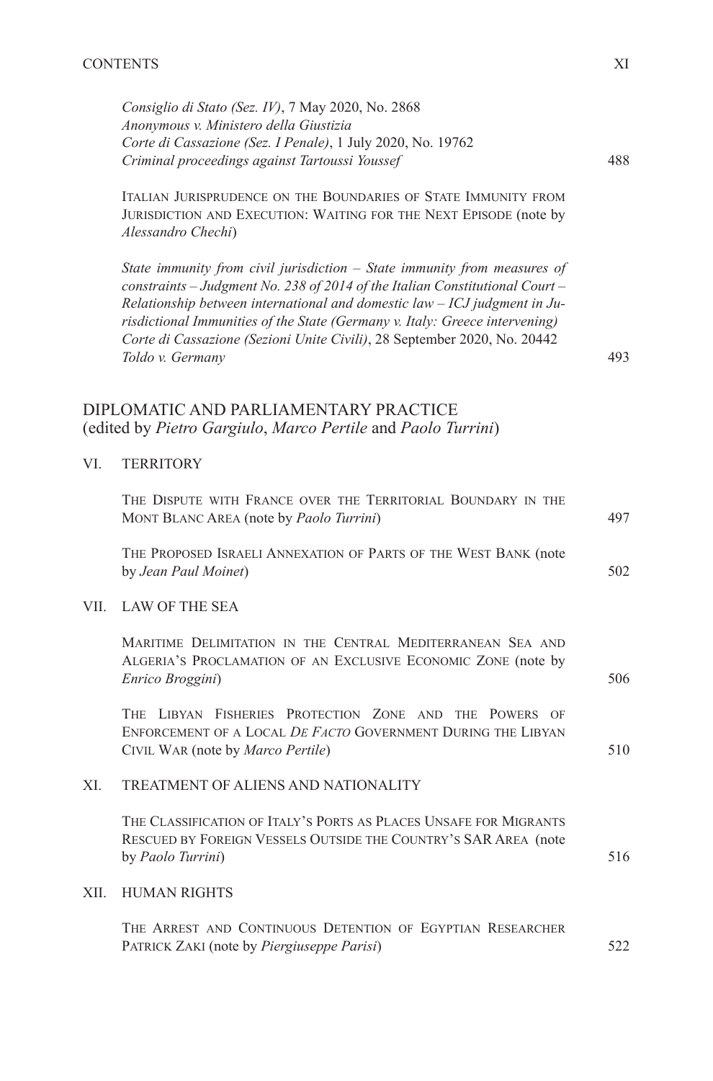*Consiglio di Stato (Sez. IV)*, 7 May 2020, No. 2868 *Anonymous v. Ministero della Giustizia Corte di Cassazione (Sez. I Penale)*, 1 July 2020, No. 19762 *Criminal proceedings against Tartoussi Youssef*

ITALIAN JURISPRUDENCE ON THE BOUNDARIES OF STATE IMMUNITY FROM JURISDICTION AND EXECUTION: WAITING FOR THE NEXT EPISODE (note by *Alessandro Chechi*)

*State immunity from civil jurisdiction – State immunity from measures of constraints – Judgment No. 238 of 2014 of the Italian Constitutional Court – Relationship between international and domestic law – ICJ judgment in Jurisdictional Immunities of the State (Germany v. Italy: Greece intervening) Corte di Cassazione (Sezioni Unite Civili)*, 28 September 2020, No. 20442 *Toldo v. Germany*

## DIPLOMATIC AND PARLIAMENTARY PRACTICE (edited by *Pietro Gargiulo*, *Marco Pertile* and *Paolo Turrini*)

### VI. TERRITORY

|      | THE DISPUTE WITH FRANCE OVER THE TERRITORIAL BOUNDARY IN THE<br>MONT BLANC AREA (note by <i>Paolo Turrini</i> )                                                     | 497 |
|------|---------------------------------------------------------------------------------------------------------------------------------------------------------------------|-----|
|      | THE PROPOSED ISRAELI ANNEXATION OF PARTS OF THE WEST BANK (note<br>by Jean Paul Moinet)                                                                             | 502 |
| VII. | LAW OF THE SEA                                                                                                                                                      |     |
|      | MARITIME DELIMITATION IN THE CENTRAL MEDITERRANEAN SEA AND<br>ALGERIA'S PROCLAMATION OF AN EXCLUSIVE ECONOMIC ZONE (note by<br>Enrico Broggini)                     | 506 |
|      | THE LIBYAN FISHERIES PROTECTION ZONE AND THE POWERS OF<br>ENFORCEMENT OF A LOCAL DE FACTO GOVERNMENT DURING THE LIBYAN<br>CIVIL WAR (note by <i>Marco Pertile</i> ) | 510 |
| XI.  | TREATMENT OF ALIENS AND NATIONALITY                                                                                                                                 |     |
|      | THE CLASSIFICATION OF ITALY'S PORTS AS PLACES UNSAFE FOR MIGRANTS<br>RESCUED BY FOREIGN VESSELS OUTSIDE THE COUNTRY'S SAR AREA (note<br>by <i>Paolo Turrini</i> )   | 516 |
| XII. | <b>HUMAN RIGHTS</b>                                                                                                                                                 |     |
|      | THE ARREST AND CONTINUOUS DETENTION OF EGYPTIAN RESEARCHER<br>PATRICK ZAKI (note by <i>Piergiuseppe Parisi</i> )                                                    | 522 |

488